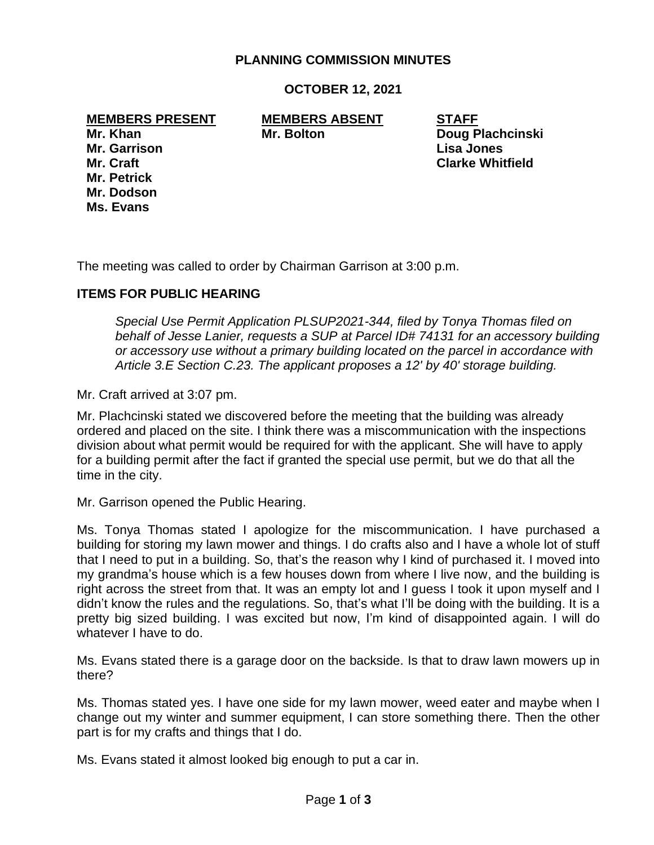# **PLANNING COMMISSION MINUTES**

**OCTOBER 12, 2021**

**MEMBERS PRESENT MEMBERS ABSENT STAFF**

**Mr. Petrick Mr. Dodson Ms. Evans**

**Mr. Khan Mr. Bolton Doug Plachcinski Mr. Garrison Lisa Jones Mr. Craft Clarke Whitfield**

The meeting was called to order by Chairman Garrison at 3:00 p.m.

# **ITEMS FOR PUBLIC HEARING**

*Special Use Permit Application PLSUP2021-344, filed by Tonya Thomas filed on behalf of Jesse Lanier, requests a SUP at Parcel ID# 74131 for an accessory building or accessory use without a primary building located on the parcel in accordance with Article 3.E Section C.23. The applicant proposes a 12' by 40' storage building.*

Mr. Craft arrived at 3:07 pm.

Mr. Plachcinski stated we discovered before the meeting that the building was already ordered and placed on the site. I think there was a miscommunication with the inspections division about what permit would be required for with the applicant. She will have to apply for a building permit after the fact if granted the special use permit, but we do that all the time in the city.

Mr. Garrison opened the Public Hearing.

Ms. Tonya Thomas stated I apologize for the miscommunication. I have purchased a building for storing my lawn mower and things. I do crafts also and I have a whole lot of stuff that I need to put in a building. So, that's the reason why I kind of purchased it. I moved into my grandma's house which is a few houses down from where I live now, and the building is right across the street from that. It was an empty lot and I guess I took it upon myself and I didn't know the rules and the regulations. So, that's what I'll be doing with the building. It is a pretty big sized building. I was excited but now, I'm kind of disappointed again. I will do whatever I have to do.

Ms. Evans stated there is a garage door on the backside. Is that to draw lawn mowers up in there?

Ms. Thomas stated yes. I have one side for my lawn mower, weed eater and maybe when I change out my winter and summer equipment, I can store something there. Then the other part is for my crafts and things that I do.

Ms. Evans stated it almost looked big enough to put a car in.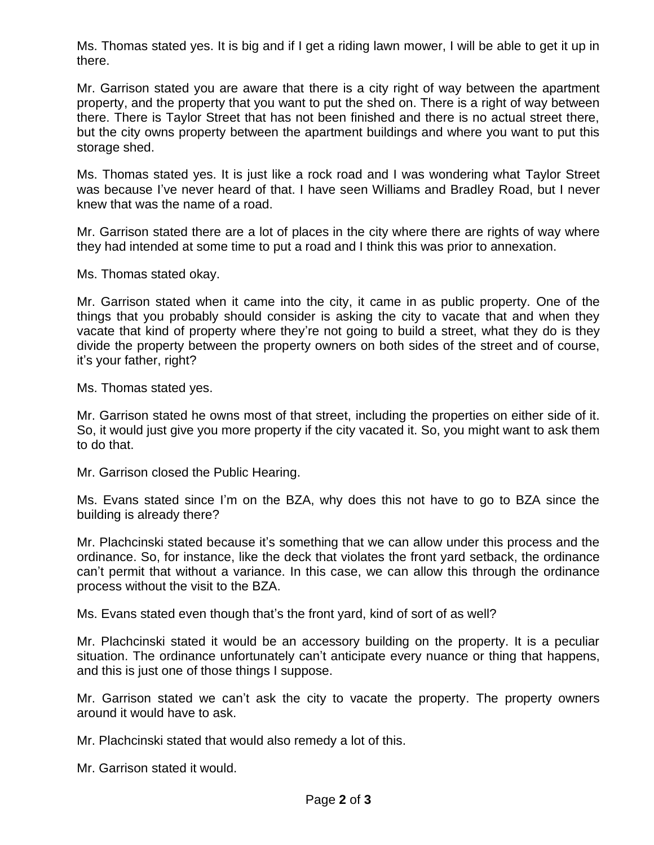Ms. Thomas stated yes. It is big and if I get a riding lawn mower, I will be able to get it up in there.

Mr. Garrison stated you are aware that there is a city right of way between the apartment property, and the property that you want to put the shed on. There is a right of way between there. There is Taylor Street that has not been finished and there is no actual street there, but the city owns property between the apartment buildings and where you want to put this storage shed.

Ms. Thomas stated yes. It is just like a rock road and I was wondering what Taylor Street was because I've never heard of that. I have seen Williams and Bradley Road, but I never knew that was the name of a road.

Mr. Garrison stated there are a lot of places in the city where there are rights of way where they had intended at some time to put a road and I think this was prior to annexation.

Ms. Thomas stated okay.

Mr. Garrison stated when it came into the city, it came in as public property. One of the things that you probably should consider is asking the city to vacate that and when they vacate that kind of property where they're not going to build a street, what they do is they divide the property between the property owners on both sides of the street and of course, it's your father, right?

Ms. Thomas stated yes.

Mr. Garrison stated he owns most of that street, including the properties on either side of it. So, it would just give you more property if the city vacated it. So, you might want to ask them to do that.

Mr. Garrison closed the Public Hearing.

Ms. Evans stated since I'm on the BZA, why does this not have to go to BZA since the building is already there?

Mr. Plachcinski stated because it's something that we can allow under this process and the ordinance. So, for instance, like the deck that violates the front yard setback, the ordinance can't permit that without a variance. In this case, we can allow this through the ordinance process without the visit to the BZA.

Ms. Evans stated even though that's the front yard, kind of sort of as well?

Mr. Plachcinski stated it would be an accessory building on the property. It is a peculiar situation. The ordinance unfortunately can't anticipate every nuance or thing that happens, and this is just one of those things I suppose.

Mr. Garrison stated we can't ask the city to vacate the property. The property owners around it would have to ask.

Mr. Plachcinski stated that would also remedy a lot of this.

Mr. Garrison stated it would.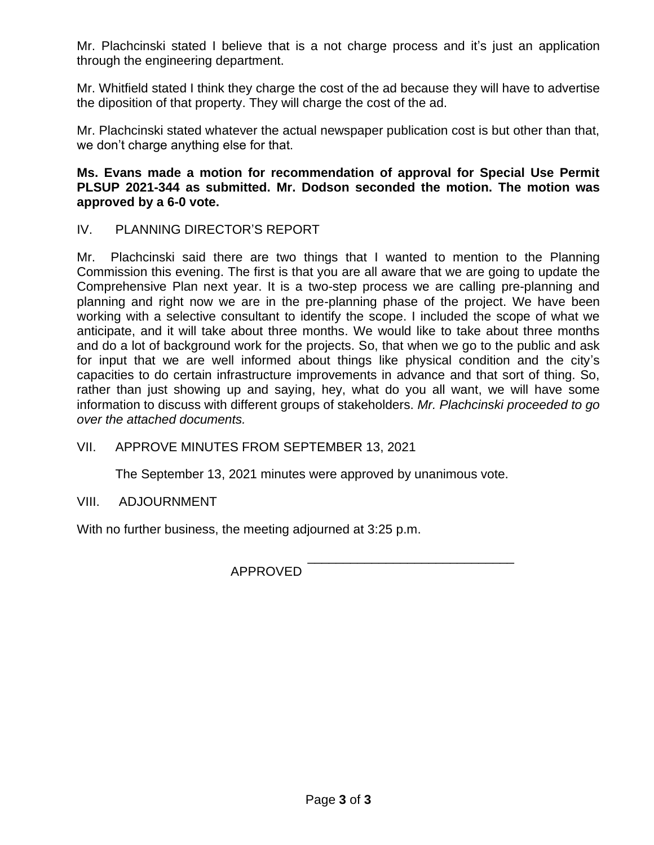Mr. Plachcinski stated I believe that is a not charge process and it's just an application through the engineering department.

Mr. Whitfield stated I think they charge the cost of the ad because they will have to advertise the diposition of that property. They will charge the cost of the ad.

Mr. Plachcinski stated whatever the actual newspaper publication cost is but other than that, we don't charge anything else for that.

**Ms. Evans made a motion for recommendation of approval for Special Use Permit PLSUP 2021-344 as submitted. Mr. Dodson seconded the motion. The motion was approved by a 6-0 vote.**

IV. PLANNING DIRECTOR'S REPORT

Mr. Plachcinski said there are two things that I wanted to mention to the Planning Commission this evening. The first is that you are all aware that we are going to update the Comprehensive Plan next year. It is a two-step process we are calling pre-planning and planning and right now we are in the pre-planning phase of the project. We have been working with a selective consultant to identify the scope. I included the scope of what we anticipate, and it will take about three months. We would like to take about three months and do a lot of background work for the projects. So, that when we go to the public and ask for input that we are well informed about things like physical condition and the city's capacities to do certain infrastructure improvements in advance and that sort of thing. So, rather than just showing up and saying, hey, what do you all want, we will have some information to discuss with different groups of stakeholders. *Mr. Plachcinski proceeded to go over the attached documents.*

# VII. APPROVE MINUTES FROM SEPTEMBER 13, 2021

The September 13, 2021 minutes were approved by unanimous vote.

\_\_\_\_\_\_\_\_\_\_\_\_\_\_\_\_\_\_\_\_\_\_\_\_\_\_\_\_\_

## VIII. ADJOURNMENT

With no further business, the meeting adjourned at 3:25 p.m.

# APPROVED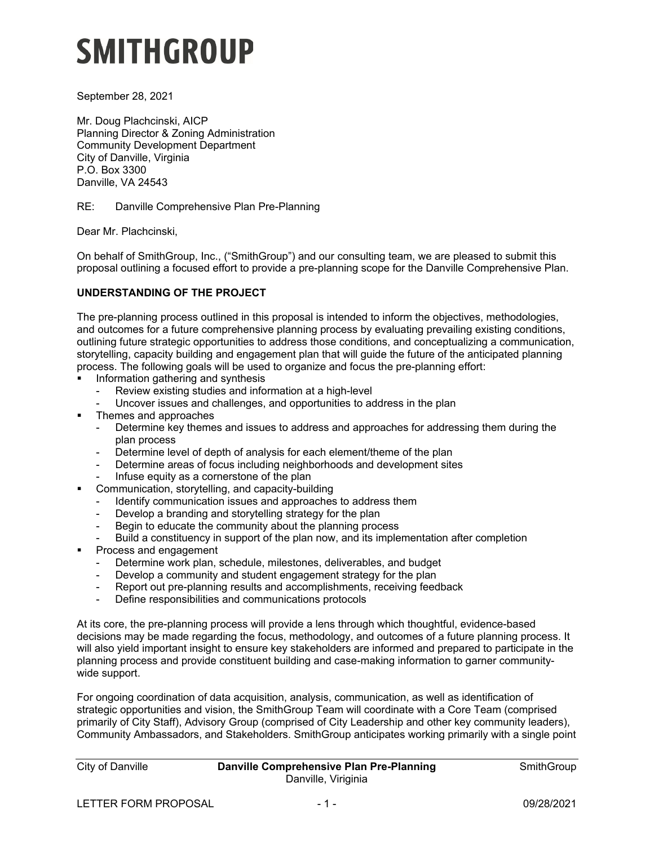September 28, 2021

Mr. Doug Plachcinski, AICP Planning Director & Zoning Administration Community Development Department City of Danville, Virginia P.O. Box 3300 Danville, VA 24543

RE: Danville Comprehensive Plan Pre-Planning

Dear Mr. Plachcinski,

On behalf of SmithGroup, Inc., ("SmithGroup") and our consulting team, we are pleased to submit this proposal outlining a focused effort to provide a pre-planning scope for the Danville Comprehensive Plan.

#### **UNDERSTANDING OF THE PROJECT**

The pre-planning process outlined in this proposal is intended to inform the objectives, methodologies, and outcomes for a future comprehensive planning process by evaluating prevailing existing conditions, outlining future strategic opportunities to address those conditions, and conceptualizing a communication, storytelling, capacity building and engagement plan that will guide the future of the anticipated planning process. The following goals will be used to organize and focus the pre-planning effort:

- Information gathering and synthesis
	- Review existing studies and information at a high-level
	- Uncover issues and challenges, and opportunities to address in the plan
- Themes and approaches
	- Determine key themes and issues to address and approaches for addressing them during the plan process
	- Determine level of depth of analysis for each element/theme of the plan
	- Determine areas of focus including neighborhoods and development sites
	- Infuse equity as a cornerstone of the plan
- Communication, storytelling, and capacity-building
	- Identify communication issues and approaches to address them
	- Develop a branding and storytelling strategy for the plan
	- Begin to educate the community about the planning process
	- Build a constituency in support of the plan now, and its implementation after completion
- Process and engagement
	- Determine work plan, schedule, milestones, deliverables, and budget
	- Develop a community and student engagement strategy for the plan
	- Report out pre-planning results and accomplishments, receiving feedback
	- Define responsibilities and communications protocols

At its core, the pre-planning process will provide a lens through which thoughtful, evidence-based decisions may be made regarding the focus, methodology, and outcomes of a future planning process. It will also yield important insight to ensure key stakeholders are informed and prepared to participate in the planning process and provide constituent building and case-making information to garner communitywide support.

For ongoing coordination of data acquisition, analysis, communication, as well as identification of strategic opportunities and vision, the SmithGroup Team will coordinate with a Core Team (comprised primarily of City Staff), Advisory Group (comprised of City Leadership and other key community leaders), Community Ambassadors, and Stakeholders. SmithGroup anticipates working primarily with a single point

| City of Danville | Danville Comprehensive Plan Pre-Planning | SmithGroup |
|------------------|------------------------------------------|------------|
|                  | Danville, Viriginia                      |            |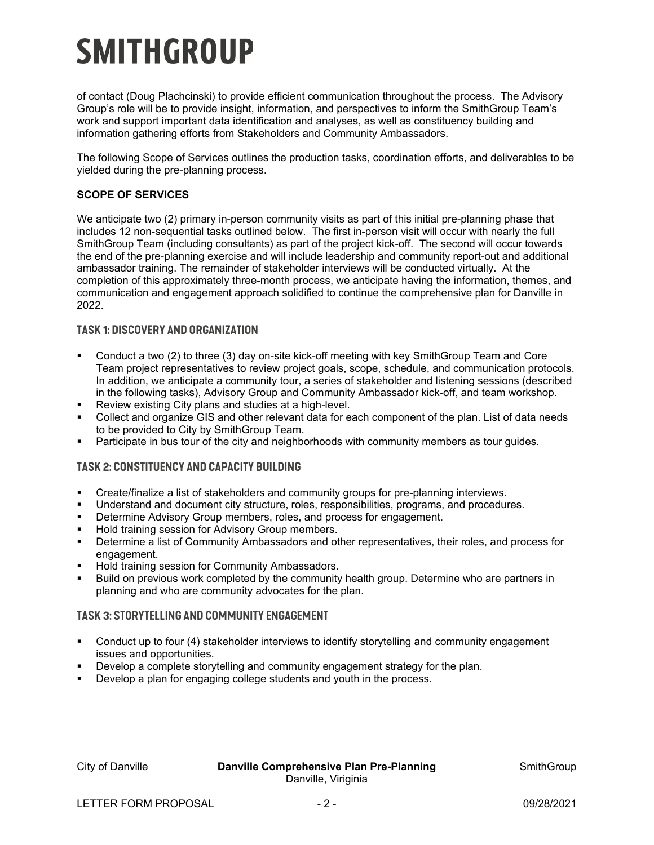of contact (Doug Plachcinski) to provide efficient communication throughout the process. The Advisory Group's role will be to provide insight, information, and perspectives to inform the SmithGroup Team's work and support important data identification and analyses, as well as constituency building and information gathering efforts from Stakeholders and Community Ambassadors.

The following Scope of Services outlines the production tasks, coordination efforts, and deliverables to be yielded during the pre-planning process.

#### **SCOPE OF SERVICES**

We anticipate two (2) primary in-person community visits as part of this initial pre-planning phase that includes 12 non-sequential tasks outlined below. The first in-person visit will occur with nearly the full SmithGroup Team (including consultants) as part of the project kick-off. The second will occur towards the end of the pre-planning exercise and will include leadership and community report-out and additional ambassador training. The remainder of stakeholder interviews will be conducted virtually. At the completion of this approximately three-month process, we anticipate having the information, themes, and communication and engagement approach solidified to continue the comprehensive plan for Danville in 2022.

#### **TASK 1: DISCOVERY AND ORGANIZATION**

- Conduct a two (2) to three (3) day on-site kick-off meeting with key SmithGroup Team and Core Team project representatives to review project goals, scope, schedule, and communication protocols. In addition, we anticipate a community tour, a series of stakeholder and listening sessions (described in the following tasks), Advisory Group and Community Ambassador kick-off, and team workshop.
- Review existing City plans and studies at a high-level.
- Collect and organize GIS and other relevant data for each component of the plan. List of data needs to be provided to City by SmithGroup Team.
- **Participate in bus tour of the city and neighborhoods with community members as tour quides.**

#### **TASK 2: CONSTITUENCY AND CAPACITY BUILDING**

- Create/finalize a list of stakeholders and community groups for pre-planning interviews.
- Understand and document city structure, roles, responsibilities, programs, and procedures.
- Determine Advisory Group members, roles, and process for engagement.
- Hold training session for Advisory Group members.
- **•** Determine a list of Community Ambassadors and other representatives, their roles, and process for engagement.
- Hold training session for Community Ambassadors.
- Build on previous work completed by the community health group. Determine who are partners in planning and who are community advocates for the plan.

#### **TASK 3: STORYTELLING AND COMMUNITY ENGAGEMENT**

- Conduct up to four (4) stakeholder interviews to identify storytelling and community engagement issues and opportunities.
- Develop a complete storytelling and community engagement strategy for the plan.
- Develop a plan for engaging college students and youth in the process.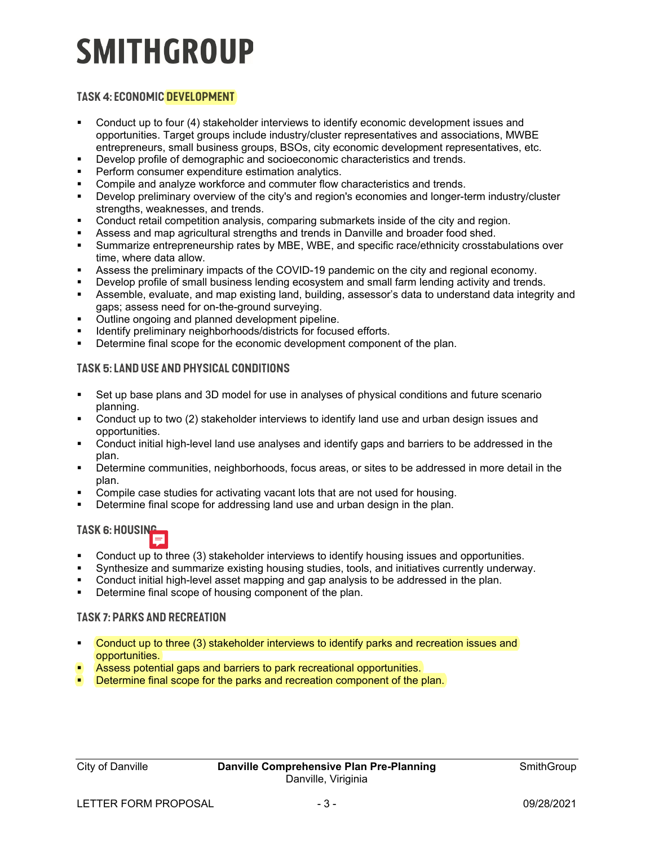### **TASK 4: ECONOMIC DEVELOPMENT**

- Conduct up to four (4) stakeholder interviews to identify economic development issues and opportunities. Target groups include industry/cluster representatives and associations, MWBE entrepreneurs, small business groups, BSOs, city economic development representatives, etc.
- Develop profile of demographic and socioeconomic characteristics and trends.
- Perform consumer expenditure estimation analytics.
- Compile and analyze workforce and commuter flow characteristics and trends.
- Develop preliminary overview of the city's and region's economies and longer-term industry/cluster strengths, weaknesses, and trends.
- Conduct retail competition analysis, comparing submarkets inside of the city and region.
- Assess and map agricultural strengths and trends in Danville and broader food shed.
- Summarize entrepreneurship rates by MBE, WBE, and specific race/ethnicity crosstabulations over time, where data allow.
- Assess the preliminary impacts of the COVID-19 pandemic on the city and regional economy.
- Develop profile of small business lending ecosystem and small farm lending activity and trends.
- Assemble, evaluate, and map existing land, building, assessor's data to understand data integrity and gaps; assess need for on-the-ground surveying.
- Outline ongoing and planned development pipeline.
- Identify preliminary neighborhoods/districts for focused efforts.
- Determine final scope for the economic development component of the plan.

### **TASK 5: LAND USE AND PHYSICAL CONDITIONS**

- Set up base plans and 3D model for use in analyses of physical conditions and future scenario planning.
- Conduct up to two (2) stakeholder interviews to identify land use and urban design issues and opportunities.
- Conduct initial high-level land use analyses and identify gaps and barriers to be addressed in the plan.
- Determine communities, neighborhoods, focus areas, or sites to be addressed in more detail in the plan.
- Compile case studies for activating vacant lots that are not used for housing.
- Determine final scope for addressing land use and urban design in the plan.

### **TASK 6: HOUSING**

- Conduct up to three (3) stakeholder interviews to identify housing issues and opportunities.
- Synthesize and summarize existing housing studies, tools, and initiatives currently underway.
- Conduct initial high-level asset mapping and gap analysis to be addressed in the plan.
- Determine final scope of housing component of the plan.

#### **TASK 7: PARKS AND RECREATION**

- Conduct up to three (3) stakeholder interviews to identify parks and recreation issues and opportunities.
- Assess potential gaps and barriers to park recreational opportunities.
- Determine final scope for the parks and recreation component of the plan.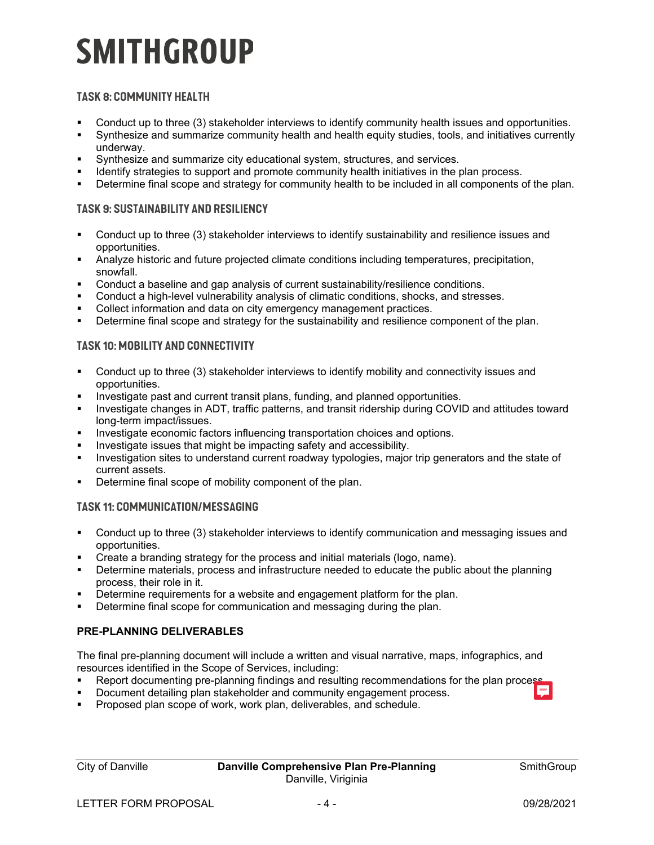### **TASK 8: COMMUNITY HEALTH**

- Conduct up to three (3) stakeholder interviews to identify community health issues and opportunities.
- Synthesize and summarize community health and health equity studies, tools, and initiatives currently underway.
- Synthesize and summarize city educational system, structures, and services.
- Identify strategies to support and promote community health initiatives in the plan process.
- Determine final scope and strategy for community health to be included in all components of the plan.

#### **TASK 9: SUSTAINABILITY AND RESILIENCY**

- Conduct up to three (3) stakeholder interviews to identify sustainability and resilience issues and opportunities.
- Analyze historic and future projected climate conditions including temperatures, precipitation, snowfall.
- Conduct a baseline and gap analysis of current sustainability/resilience conditions.
- Conduct a high-level vulnerability analysis of climatic conditions, shocks, and stresses.
- Collect information and data on city emergency management practices.
- Determine final scope and strategy for the sustainability and resilience component of the plan.

#### **TASK 10: MOBILITY AND CONNECTIVITY**

- Conduct up to three (3) stakeholder interviews to identify mobility and connectivity issues and opportunities.
- Investigate past and current transit plans, funding, and planned opportunities.
- Investigate changes in ADT, traffic patterns, and transit ridership during COVID and attitudes toward long-term impact/issues.
- Investigate economic factors influencing transportation choices and options.
- Investigate issues that might be impacting safety and accessibility.
- Investigation sites to understand current roadway typologies, major trip generators and the state of current assets.
- Determine final scope of mobility component of the plan.

#### **TASK 11: COMMUNICATION/MESSAGING**

- Conduct up to three (3) stakeholder interviews to identify communication and messaging issues and opportunities.
- Create a branding strategy for the process and initial materials (logo, name).
- Determine materials, process and infrastructure needed to educate the public about the planning process, their role in it.
- Determine requirements for a website and engagement platform for the plan.
- Determine final scope for communication and messaging during the plan.

#### **PRE-PLANNING DELIVERABLES**

The final pre-planning document will include a written and visual narrative, maps, infographics, and resources identified in the Scope of Services, including:

- Report documenting pre-planning findings and resulting recommendations for the plan process
- Document detailing plan stakeholder and community engagement process.
- Proposed plan scope of work, work plan, deliverables, and schedule.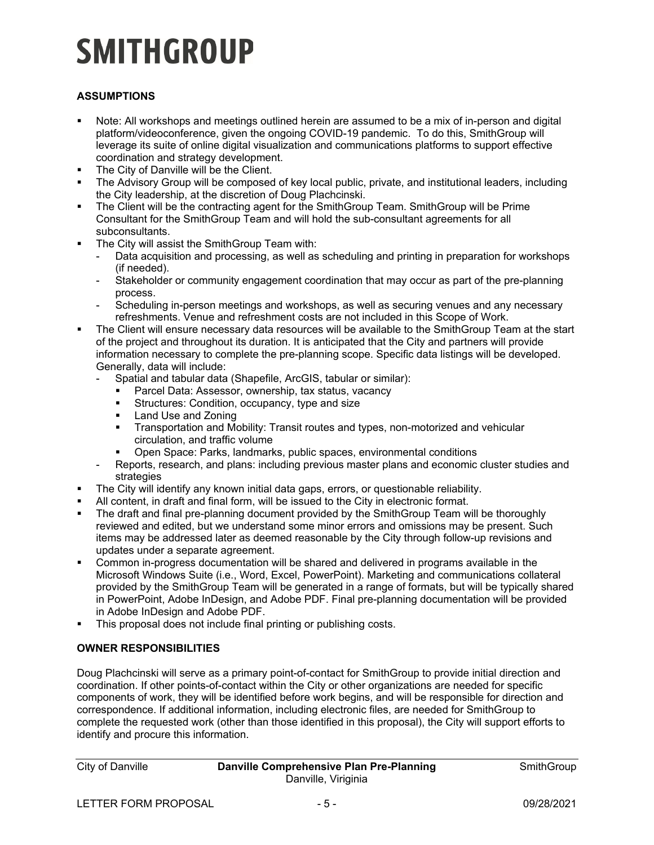### **ASSUMPTIONS**

- Note: All workshops and meetings outlined herein are assumed to be a mix of in-person and digital platform/videoconference, given the ongoing COVID-19 pandemic. To do this, SmithGroup will leverage its suite of online digital visualization and communications platforms to support effective coordination and strategy development.
- The City of Danville will be the Client.
- The Advisory Group will be composed of key local public, private, and institutional leaders, including the City leadership, at the discretion of Doug Plachcinski.
- The Client will be the contracting agent for the SmithGroup Team. SmithGroup will be Prime Consultant for the SmithGroup Team and will hold the sub-consultant agreements for all subconsultants.
- The City will assist the SmithGroup Team with:
	- Data acquisition and processing, as well as scheduling and printing in preparation for workshops (if needed).
	- Stakeholder or community engagement coordination that may occur as part of the pre-planning process.
	- Scheduling in-person meetings and workshops, as well as securing venues and any necessary refreshments. Venue and refreshment costs are not included in this Scope of Work.
- The Client will ensure necessary data resources will be available to the SmithGroup Team at the start of the project and throughout its duration. It is anticipated that the City and partners will provide information necessary to complete the pre-planning scope. Specific data listings will be developed. Generally, data will include:
	- Spatial and tabular data (Shapefile, ArcGIS, tabular or similar):
		- **Parcel Data: Assessor, ownership, tax status, vacancy**
		- **Structures: Condition, occupancy, type and size**
		- **Land Use and Zoning**
		- Transportation and Mobility: Transit routes and types, non-motorized and vehicular circulation, and traffic volume
		- **Open Space: Parks, landmarks, public spaces, environmental conditions**
	- Reports, research, and plans: including previous master plans and economic cluster studies and strategies
- The City will identify any known initial data gaps, errors, or questionable reliability.
- All content, in draft and final form, will be issued to the City in electronic format.
- The draft and final pre-planning document provided by the SmithGroup Team will be thoroughly reviewed and edited, but we understand some minor errors and omissions may be present. Such items may be addressed later as deemed reasonable by the City through follow-up revisions and updates under a separate agreement.
- Common in-progress documentation will be shared and delivered in programs available in the Microsoft Windows Suite (i.e., Word, Excel, PowerPoint). Marketing and communications collateral provided by the SmithGroup Team will be generated in a range of formats, but will be typically shared in PowerPoint, Adobe InDesign, and Adobe PDF. Final pre-planning documentation will be provided in Adobe InDesign and Adobe PDF.
- **This proposal does not include final printing or publishing costs.**

### **OWNER RESPONSIBILITIES**

Doug Plachcinski will serve as a primary point-of-contact for SmithGroup to provide initial direction and coordination. If other points-of-contact within the City or other organizations are needed for specific components of work, they will be identified before work begins, and will be responsible for direction and correspondence. If additional information, including electronic files, are needed for SmithGroup to complete the requested work (other than those identified in this proposal), the City will support efforts to identify and procure this information.

| City of Danville | Danville Comprehensive Plan Pre-Planning |  |
|------------------|------------------------------------------|--|
|                  | Danville, Viriginia                      |  |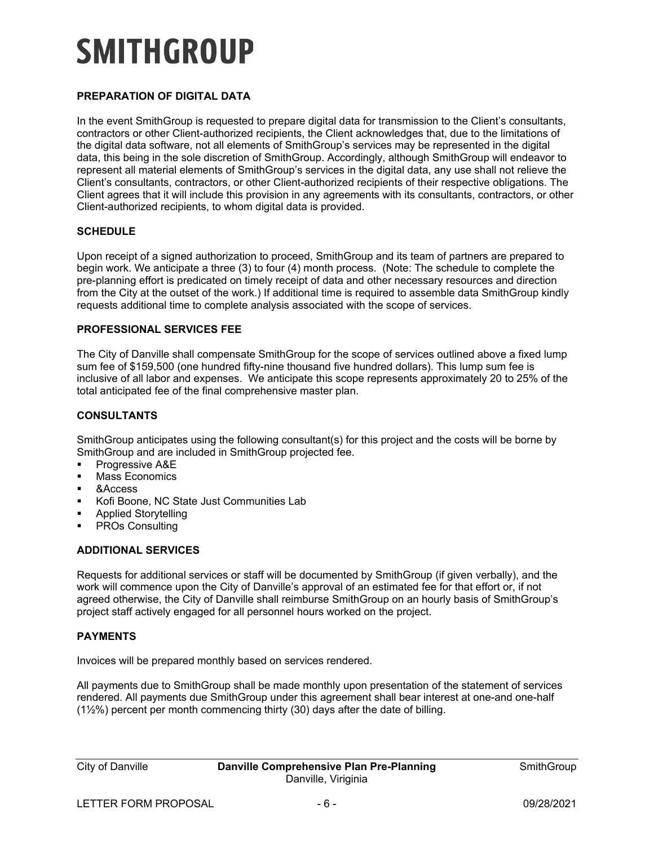### **PREPARATION OF DIGITAL DATA**

In the event SmithGroup is requested to prepare digital data for transmission to the Client's consultants, contractors or other Client-authorized recipients, the Client acknowledges that, due to the limitations of the digital data software, not all elements of SmithGroup's services may be represented in the digital data, this being in the sole discretion of SmithGroup. Accordingly, although SmithGroup will endeavor to represent all material elements of SmithGroup's services in the digital data, any use shall not relieve the Client's consultants, contractors, or other Client-authorized recipients of their respective obligations. The Client agrees that it will include this provision in any agreements with its consultants, contractors, or other Client-authorized recipients, to whom digital data is provided.

#### **SCHEDULE**

Upon receipt of a signed authorization to proceed, SmithGroup and its team of partners are prepared to begin work. We anticipate a three (3) to four (4) month process. (Note: The schedule to complete the pre-planning effort is predicated on timely receipt of data and other necessary resources and direction from the City at the outset of the work.) If additional time is required to assemble data SmithGroup kindly requests additional time to complete analysis associated with the scope of services.

#### **PROFESSIONAL SERVICES FEE**

The City of Danville shall compensate SmithGroup for the scope of services outlined above a fixed lump sum fee of \$159,500 (one hundred fifty-nine thousand five hundred dollars). This lump sum fee is inclusive of all labor and expenses. We anticipate this scope represents approximately 20 to 25% of the total anticipated fee of the final comprehensive master plan.

#### **CONSULTANTS**

SmithGroup anticipates using the following consultant(s) for this project and the costs will be borne by SmithGroup and are included in SmithGroup projected fee.

- **Progressive A&E**
- Mass Economics
- &Access
- Kofi Boone, NC State Just Communities Lab
- Applied Storytelling
- **•** PROs Consulting

#### **ADDITIONAL SERVICES**

Requests for additional services or staff will be documented by SmithGroup (if given verbally), and the work will commence upon the City of Danville's approval of an estimated fee for that effort or, if not agreed otherwise, the City of Danville shall reimburse SmithGroup on an hourly basis of SmithGroup's project staff actively engaged for all personnel hours worked on the project.

#### **PAYMENTS**

Invoices will be prepared monthly based on services rendered.

All payments due to SmithGroup shall be made monthly upon presentation of the statement of services rendered. All payments due SmithGroup under this agreement shall bear interest at one-and one-half (1½%) percent per month commencing thirty (30) days after the date of billing.